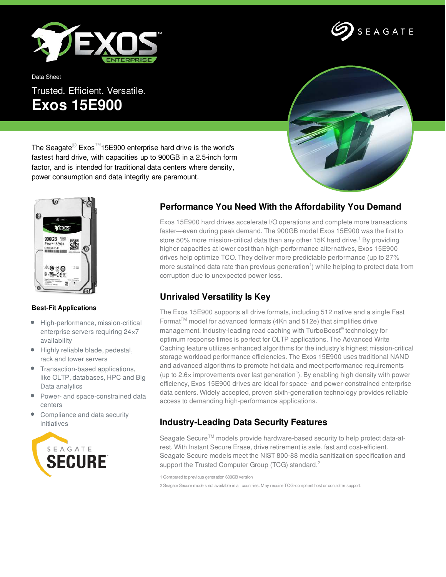

Data Sheet

# Trusted. Efficient. Versatile. **Exos 15E900**



SEAGATE

The Seagate® Exos™15E900 enterprise hard drive is the world's fastest hard drive, with capacities up to 900GB in a 2.5-inch form factor, and is intended for traditional data centers where density, power consumption and data integrity are paramount.



#### **Best-Fit Applications**

- $\bullet$ High-performance, mission-critical enterprise servers requiring 24×7 availability
- Highly reliable blade, pedestal, rack and tower servers
- Transaction-based applications, like OLTP, databases, HPC and Big Data analytics
- Power- and space-constrained data centers
- Compliance and data security initiatives



## **Performance You Need With the Affordability You Demand**

Exos 15E900 hard drives accelerate I/O operations and complete more transactions faster—even during peak demand. The 900GB model Exos 15E900 was the first to store 50% more mission-critical data than any other 15K hard drive.<sup>1</sup> By providing higher capacities at lower cost than high-performance alternatives, Exos 15E900 drives help optimize TCO. They deliver more predictable performance (up to 27% more sustained data rate than previous generation<sup>1</sup>) while helping to protect data from corruption due to unexpected power loss.

## **Unrivaled Versatility Is Key**

The Exos 15E900 supports all drive formats, including 512 native and a single Fast Format<sup>TM</sup> model for advanced formats (4Kn and 512e) that simplifies drive management. Industry-leading read caching with TurboBoost® technology for optimum response times is perfect for OLTP applications. The Advanced Write Caching feature utilizes enhanced algorithms for the industry's highest mission-critical storage workload performance efficiencies. The Exos 15E900 uses traditional NAND and advanced algorithms to promote hot data and meet performance requirements (up to 2.6 $\times$  improvements over last generation<sup>1</sup>). By enabling high density with power efficiency, Exos 15E900 drives are ideal for space- and power-constrained enterprise data centers. Widely accepted, proven sixth-generation technology provides reliable access to demanding high-performance applications.

## **Industry-Leading Data Security Features**

Seagate Secure™ models provide hardware-based security to help protect data-atrest. With Instant Secure Erase, drive retirement is safe, fast and cost-efficient. Seagate Secure models meet the NIST 800-88 media sanitization specification and support the Trusted Computer Group (TCG) standard.<sup>2</sup>

1 Compared to previous generation 600GB version

2 Seagate Secure models not available in all countries. May require TCG-compliant host or controller support.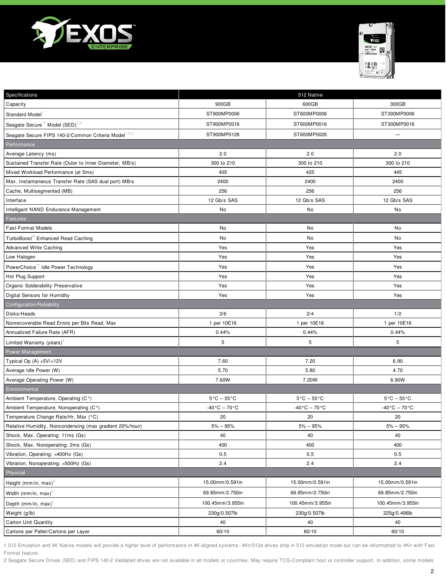



| Specifications                                                   |                                | 512 Native                     |                                |
|------------------------------------------------------------------|--------------------------------|--------------------------------|--------------------------------|
| Capacity                                                         | 900GB                          | 600GB                          | 300GB                          |
| Standard Model                                                   | ST900MP0006                    | ST600MP0006                    | ST300MP0006                    |
| Seagate Secure <sup>™</sup> Model (SED) <sup>1,2</sup>           | ST900MP0016                    | ST600MP0016                    | ST300MP0016                    |
| Seagate Secure FIPS 140-2/Common Criteria Model <sup>1,2,3</sup> | ST900MP0126                    | ST600MP0026                    | $\overline{\phantom{0}}$       |
| Performance                                                      |                                |                                |                                |
| Average Latency (ms)                                             | 2.0                            | 2.0                            | 2.0                            |
| Sustained Transfer Rate (Outer to Inner Diameter, MB/s)          | 300 to 210                     | 300 to 210                     | 300 to 210                     |
| Mixed Workload Performance (at 5ms)                              | 405                            | 425                            | 445                            |
| Max. Instantaneous Transfer Rate (SAS dual port) MB/s            | 2400                           | 2400                           | 2400                           |
| Cache, Multisegmented (MB)                                       | 256                            | 256                            | 256                            |
| Interface                                                        | 12 Gb/s SAS                    | 12 Gb/s SAS                    | 12 Gb/s SAS                    |
| Intelligent NAND Endurance Management                            | No                             | No                             | No                             |
| Features                                                         |                                |                                |                                |
| <b>Fast-Format Models</b>                                        | No                             | No                             | No                             |
| TurboBoost <sup>®</sup> Enhanced Read Caching                    | No                             | No                             | No                             |
| <b>Advanced Write Caching</b>                                    | Yes                            | Yes                            | Yes                            |
| Low Halogen                                                      | Yes                            | Yes                            | Yes                            |
| PowerChoice™ Idle Power Technology                               | Yes                            | Yes                            | Yes                            |
| Hot Plug Support                                                 | Yes                            | Yes                            | Yes                            |
| Organic Solderability Preservative                               | Yes                            | Yes                            | Yes                            |
| Digital Sensors for Humidity                                     | Yes                            | Yes                            | Yes                            |
| Configuration/Reliability                                        |                                |                                |                                |
| Disks/Heads                                                      | 3/6                            | 2/4                            | 1/2                            |
| Nonrecoverable Read Errors per Bits Read, Max                    | 1 per 10E16                    | 1 per 10E16                    | 1 per 10E16                    |
| Annualized Failure Rate (AFR)                                    | 0.44%                          | 0.44%                          | 0.44%                          |
| Limited Warranty (years) <sup>4</sup>                            | 5                              | 5                              | 5                              |
| Power Management                                                 |                                |                                |                                |
| Typical Op (A) +5V/+12V                                          | 7.60                           | 7.20                           | 6.90                           |
| Average Idle Power (W)                                           | 5.70                           | 5.80                           | 4.70                           |
| Average Operating Power (W)                                      | 7.60W                          | 7.20W                          | 6.90W                          |
| Environmental                                                    |                                |                                |                                |
| Ambient Temperature, Operating (C°)                              | $5^{\circ}$ C - $55^{\circ}$ C | $5^{\circ}$ C – $55^{\circ}$ C | $5^{\circ}$ C - $55^{\circ}$ C |
| Ambient Temperature, Nonoperating (C°)                           | $-40\degree C - 70\degree C$   | $-40\degree C - 70\degree C$   | $-40\degree C - 70\degree C$   |
| Temperature Change Rate/Hr, Max (°C)                             | 20                             | 20                             | 20                             |
| Relative Humidity, Noncondensing (max gradient 20%/hour)         | $5\% - 95\%$                   | $5% - 95%$                     | $5% - 95%$                     |
| Shock, Max. Operating: 11ms (Gs)                                 | 40                             | 40                             | 40                             |
| Shock, Max. Nonoperating: 2ms (Gs)                               | 400                            | 400                            | 400                            |
| Vibration, Operating: <400Hz (Gs)                                | 0.5                            | 0.5                            | 0.5                            |
| Vibration, Nonoperating: <500Hz (Gs)                             | 2.4                            | 2.4                            | 2.4                            |
| Physical                                                         |                                |                                |                                |
| Height (mm/in, max) <sup>5</sup>                                 | 15.00mm/0.591in                | 15.00mm/0.591in                | 15.00mm/0.591in                |
| Width (mm/in, max) $5$                                           | 69.85mm/2.750in                | 69.85mm/2.750in                | 69.85mm/2.750in                |
| Depth (mm/in, max) $5$                                           | 100.45mm/3.955in               | 100.45mm/3.955in               | 100.45mm/3.955in               |
| Weight (g/lb)                                                    | 230g/0.507lb                   | 230g/0.507lb                   | 225g/0.496lb                   |
| Carton Unit Quantity                                             | 40                             | 40                             | 40                             |
| Cartons per Pallet/Cartons per Layer                             | 60/10                          | 60/10                          | 60/10                          |

1 512 Emulation and 4K Native models will provide a higher level of performance in 4K-aligned systems. 4Kn/512e drives ship in 512 emulation mode but can be reformatted to 4Kn with Fast Format feature.

2 Seagate Secure Drives (SED) and FIPS 140-2 Validated drives are not available in all models or countries. May require TCG-Compliant host or controller support. In addition, some models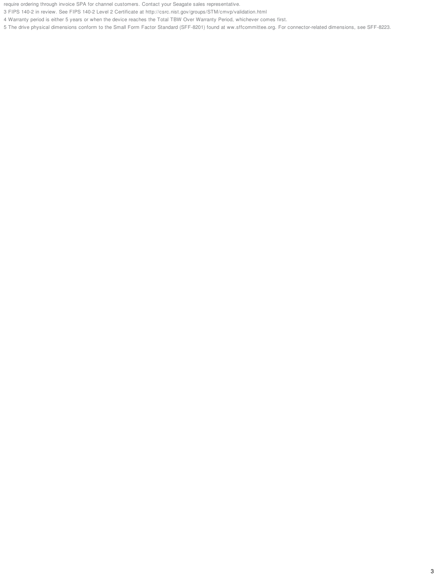require ordering through invoice SPA for channel customers. Contact your Seagate sales representative.

3 FIPS 140-2 in review. See FIPS 140-2 Level 2 Certificate at http://csrc.nist.gov/groups/STM/cmvp/validation.html

4 Warranty period is either 5 years or when the device reaches the Total TBW Over Warranty Period, whichever comes first.

5 The drive physical dimensions conform to the Small Form Factor Standard (SFF-8201) found at ww.sffcommittee.org. For connector-related dimensions, see SFF-8223.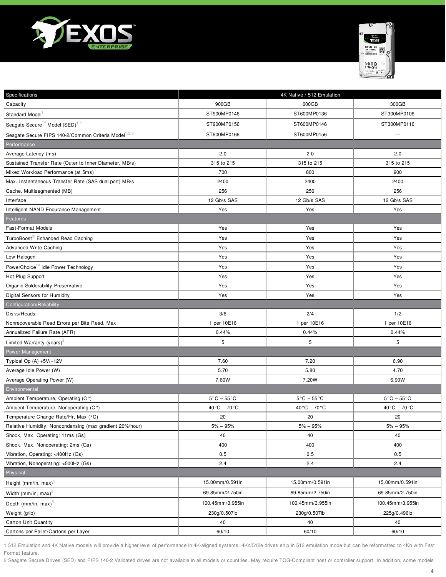



| Specifications                                                   |                                 | 4K Native / 512 Emulation      |                                |
|------------------------------------------------------------------|---------------------------------|--------------------------------|--------------------------------|
| Capacity                                                         | 900GB                           | 600GB                          | 300GB                          |
| Standard Model <sup>1</sup>                                      | ST900MP0146                     | ST600MP0136                    | ST300MP0106                    |
| Seagate Secure <sup>™</sup> Model (SED) <sup>1,2</sup>           | ST900MP0156                     | ST600MP0146                    | ST300MP0116                    |
| Seagate Secure FIPS 140-2/Common Criteria Model <sup>1,2,3</sup> | ST900MP0166                     | ST600MP0156                    |                                |
| Performance                                                      |                                 |                                |                                |
| Average Latency (ms)                                             | 2.0                             | 2.0                            | 2.0                            |
| Sustained Transfer Rate (Outer to Inner Diameter, MB/s)          | 315 to 215                      | 315 to 215                     | 315 to 215                     |
| Mixed Workload Performance (at 5ms)                              | 700                             | 800                            | 900                            |
| Max. Instantaneous Transfer Rate (SAS dual port) MB/s            | 2400                            | 2400                           | 2400                           |
| Cache, Multisegmented (MB)                                       | 256                             | 256                            | 256                            |
| Interface                                                        | 12 Gb/s SAS                     | 12 Gb/s SAS                    | 12 Gb/s SAS                    |
| Intelligent NAND Endurance Management                            | Yes                             | Yes                            | Yes                            |
| Features                                                         |                                 |                                |                                |
| <b>Fast-Format Models</b>                                        | Yes                             | Yes                            | Yes                            |
| TurboBoost® Enhanced Read Caching                                | Yes                             | Yes                            | Yes                            |
| <b>Advanced Write Caching</b>                                    | Yes                             | Yes                            | Yes                            |
| Low Halogen                                                      | Yes                             | Yes                            | Yes                            |
| PowerChoice™ Idle Power Technology                               | Yes                             | Yes                            | Yes                            |
| Hot Plug Support                                                 | Yes                             | Yes                            | Yes                            |
| Organic Solderability Preservative                               | Yes                             | Yes                            | Yes                            |
| Digital Sensors for Humidity                                     | Yes                             | Yes                            | Yes                            |
| Configuration/Reliability                                        |                                 |                                |                                |
| Disks/Heads                                                      | 3/6                             | 2/4                            | 1/2                            |
| Nonrecoverable Read Errors per Bits Read, Max                    | 1 per 10E16                     | 1 per 10E16                    | 1 per 10E16                    |
| Annualized Failure Rate (AFR)                                    | 0.44%                           | 0.44%                          | 0.44%                          |
| Limited Warranty (years) <sup>4</sup>                            | 5                               | 5                              | 5                              |
| Power Management                                                 |                                 |                                |                                |
| Typical Op (A) +5V/+12V                                          | 7.60                            | 7.20                           | 6.90                           |
| Average Idle Power (W)                                           | 5.70                            | 5.80                           | 4.70                           |
| Average Operating Power (W)                                      | 7.60W                           | 7.20W                          | 6.90W                          |
| Environmental                                                    |                                 |                                |                                |
| Ambient Temperature, Operating (C°)                              | $5^{\circ}$ C - $55^{\circ}$ C  | $5^{\circ}$ C – $55^{\circ}$ C | $5^{\circ}$ C - $55^{\circ}$ C |
| Ambient Temperature, Nonoperating (C°)                           | $-40\degree$ C – 70 $\degree$ C | $-40\degree C - 70\degree C$   | $-40\degree C - 70\degree C$   |
| Temperature Change Rate/Hr, Max (°C)                             | 20                              | 20                             | 20                             |
| Relative Humidity, Noncondensing (max gradient 20%/hour)         | $5\% - 95\%$                    | $5\% - 95\%$                   | $5% - 95%$                     |
| Shock, Max. Operating: 11ms (Gs)                                 | 40                              | 40                             | 40                             |
| Shock, Max. Nonoperating: 2ms (Gs)                               | 400                             | 400                            | 400                            |
| Vibration, Operating: <400Hz (Gs)                                | 0.5                             | 0.5                            | 0.5                            |
| Vibration, Nonoperating: <500Hz (Gs)                             | 2.4                             | 2.4                            | 2.4                            |
| Physical                                                         |                                 |                                |                                |
| Height (mm/in, max) $^5$                                         | 15.00mm/0.591in                 | 15.00mm/0.591in                | 15.00mm/0.591in                |
| Width (mm/in, max) $^{\circ}$                                    | 69.85mm/2.750in                 | 69.85mm/2.750in                | 69.85mm/2.750in                |
| Depth (mm/in, max) $5$                                           | 100.45mm/3.955in                | 100.45mm/3.955in               | 100.45mm/3.955in               |
| Weight (g/lb)                                                    | 230g/0.507lb                    | 230g/0.507lb                   | 225g/0.496lb                   |
| <b>Carton Unit Quantity</b>                                      | 40                              | 40                             | 40                             |
| Cartons per Pallet/Cartons per Layer                             | 60/10                           | 60/10                          | 60/10                          |

1 512 Emulation and 4K Native models will provide a higher level of performance in 4K-aligned systems. 4Kn/512e drives ship in 512 emulation mode but can be reformatted to 4Kn with Fast Format feature.

2 Seagate Secure Drives (SED) and FIPS 140-2 Validated drives are not available in all models or countries. May require TCG-Compliant host or controller support. In addition, some models